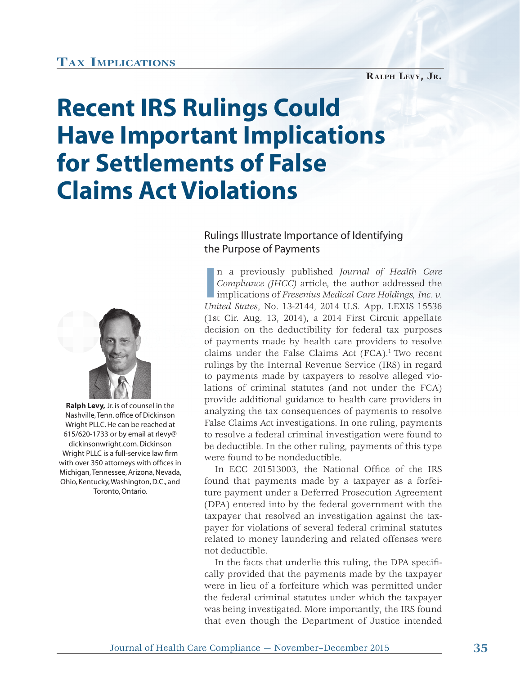## **TAX IMPLICATIONS**

## **Recent IRS Rulings Could Have Important Implications for Settlements of False Claims Act Violations**





**Ralph Levy,** Jr. is of counsel in the Nashville, Tenn. office of Dickinson Wright PLLC. He can be reached at 615/620-1733 or by email at rlevy@ dickinsonwright.com. Dickinson Wright PLLC is a full-service law firm with over 350 attorneys with offices in Michigan, Tennessee, Arizona, Nevada, Ohio, Kentucky, Washington, D.C., and Toronto, Ontario.

**I** n a previously published *Journal of Health Care Compliance (JHCC)* article, the author addressed the implications of *Fresenius Medical Care Holdings, Inc. v. United States*, No. 13-2144, 2014 U.S. App. LEXIS 15536 (1st Cir. Aug. 13, 2014), a 2014 First Circuit appellate u decision on the deductibility for federal tax purposes of payments made by health care providers to resolve claims under the False Claims Act  $(FCA)^{1}$  Two recent rulings by the Internal Revenue Service (IRS) in regard to payments made by taxpayers to resolve alleged violations of criminal statutes (and not under the FCA) provide additional guidance to health care providers in analyzing the tax consequences of payments to resolve False Claims Act investigations. In one ruling, payments to resolve a federal criminal investigation were found to be deductible. In the other ruling, payments of this type were found to be nondeductible.

In ECC 201513003, the National Office of the IRS found that payments made by a taxpayer as a forfeiture payment under a Deferred Prosecution Agreement (DPA) entered into by the federal government with the taxpayer that resolved an investigation against the taxpayer for violations of several federal criminal statutes related to money laundering and related offenses were not deductible.

In the facts that underlie this ruling, the DPA specifically provided that the payments made by the taxpayer were in lieu of a forfeiture which was permitted under the federal criminal statutes under which the taxpayer was being investigated. More importantly, the IRS found that even though the Department of Justice intended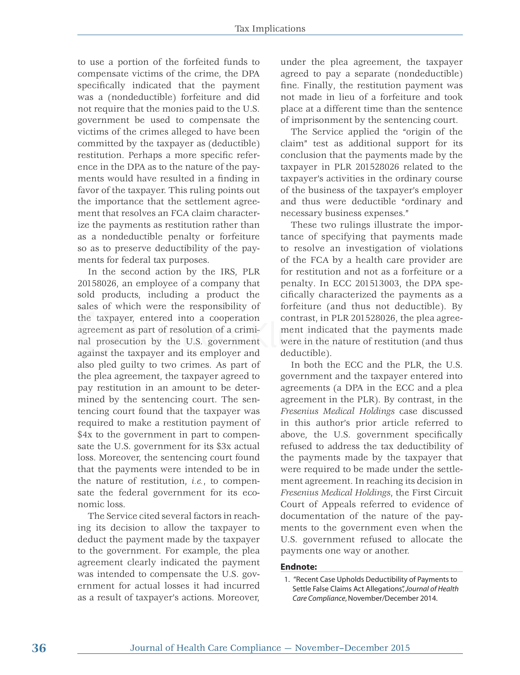to use a portion of the forfeited funds to compensate victims of the crime, the DPA specifically indicated that the payment was a (nondeductible) forfeiture and did not require that the monies paid to the U.S. government be used to compensate the victims of the crimes alleged to have been committed by the taxpayer as (deductible) restitution. Perhaps a more specific reference in the DPA as to the nature of the payments would have resulted in a finding in favor of the taxpayer. This ruling points out the importance that the settlement agreement that resolves an FCA claim characterize the payments as restitution rather than as a nondeductible penalty or forfeiture so as to preserve deductibility of the payments for federal tax purposes.

In the second action by the IRS, PLR 20158026, an employee of a company that sold products, including a product the sales of which were the responsibility of the taxpayer, entered into a cooperation agreement as part of resolution of a criminal prosecution by the U.S. government against the taxpayer and its employer and gainst t also pled guilty to two crimes. As part of the plea agreement, the taxpayer agreed to pay restitution in an amount to be determined by the sentencing court. The sentencing court found that the taxpayer was required to make a restitution payment of \$4x to the government in part to compensate the U.S. government for its \$3x actual loss. Moreover, the sentencing court found that the payments were intended to be in the nature of restitution, *i.e.*, to compensate the federal government for its economic loss.

The Service cited several factors in reaching its decision to allow the taxpayer to deduct the payment made by the taxpayer to the government. For example, the plea agreement clearly indicated the payment was intended to compensate the U.S. government for actual losses it had incurred as a result of taxpayer's actions. Moreover,

under the plea agreement, the taxpayer agreed to pay a separate (nondeductible) fine. Finally, the restitution payment was not made in lieu of a forfeiture and took place at a different time than the sentence of imprisonment by the sentencing court.

The Service applied the "origin of the claim" test as additional support for its conclusion that the payments made by the taxpayer in PLR 201528026 related to the taxpayer's activities in the ordinary course of the business of the taxpayer's employer and thus were deductible "ordinary and necessary business expenses."

These two rulings illustrate the importance of specifying that payments made to resolve an investigation of violations of the FCA by a health care provider are for restitution and not as a forfeiture or a penalty. In ECC 201513003, the DPA specifically characterized the payments as a forfeiture (and thus not deductible). By contrast, in PLR 201528026, the plea agreement indicated that the payments made nt ment indicated that the payments made<br>nt were in the nature of restitution (and thus deductible).

> In both the ECC and the PLR, the U.S. government and the taxpayer entered into agreements (a DPA in the ECC and a plea agreement in the PLR). By contrast, in the *Fresenius Medical Holdings* case discussed in this author's prior article referred to above, the U.S. government specifically refused to address the tax deductibility of the payments made by the taxpayer that were required to be made under the settlement agreement. In reaching its decision in *Fresenius Medical Holdings*, the First Circuit Court of Appeals referred to evidence of documentation of the nature of the payments to the government even when the U.S. government refused to allocate the payments one way or another.

## **Endnote:**

 <sup>1. &</sup>quot;Recent Case Upholds Deductibility of Payments to Settle False Claims Act Allegations", *Journal of Health Care Compliance*, November/December 2014.